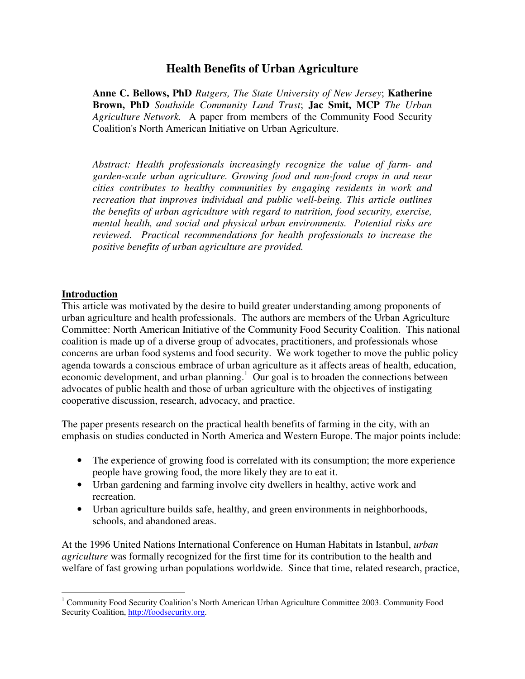# **Health Benefits of Urban Agriculture**

**Anne C. Bellows, PhD** *Rutgers, The State University of New Jersey*; **Katherine Brown, PhD** *Southside Community Land Trust*; **Jac Smit, MCP** *The Urban Agriculture Network.* A paper from members of the Community Food Security Coalition's North American Initiative on Urban Agriculture*.*

*Abstract: Health professionals increasingly recognize the value of farm- and garden-scale urban agriculture. Growing food and non-food crops in and near cities contributes to healthy communities by engaging residents in work and recreation that improves individual and public well-being. This article outlines the benefits of urban agriculture with regard to nutrition, food security, exercise, mental health, and social and physical urban environments. Potential risks are reviewed. Practical recommendations for health professionals to increase the positive benefits of urban agriculture are provided.*

#### **Introduction**

This article was motivated by the desire to build greater understanding among proponents of urban agriculture and health professionals. The authors are members of the Urban Agriculture Committee: North American Initiative of the Community Food Security Coalition. This national coalition is made up of a diverse group of advocates, practitioners, and professionals whose concerns are urban food systems and food security. We work together to move the public policy agenda towards a conscious embrace of urban agriculture as it affects areas of health, education, economic development, and urban planning.<sup>1</sup> Our goal is to broaden the connections between advocates of public health and those of urban agriculture with the objectives of instigating cooperative discussion, research, advocacy, and practice.

The paper presents research on the practical health benefits of farming in the city, with an emphasis on studies conducted in North America and Western Europe. The major points include:

- The experience of growing food is correlated with its consumption; the more experience people have growing food, the more likely they are to eat it.
- Urban gardening and farming involve city dwellers in healthy, active work and recreation.
- Urban agriculture builds safe, healthy, and green environments in neighborhoods, schools, and abandoned areas.

At the 1996 United Nations International Conference on Human Habitats in Istanbul, *urban agriculture* was formally recognized for the first time for its contribution to the health and welfare of fast growing urban populations worldwide. Since that time, related research, practice,

<sup>&</sup>lt;sup>1</sup> Community Food Security Coalition's North American Urban Agriculture Committee 2003. Community Food Security Coalition, http://foodsecurity.org.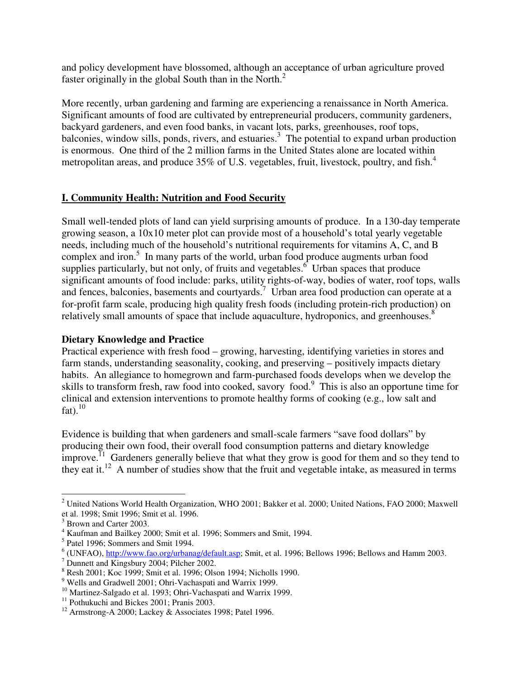and policy development have blossomed, although an acceptance of urban agriculture proved faster originally in the global South than in the North.<sup>2</sup>

More recently, urban gardening and farming are experiencing a renaissance in North America. Significant amounts of food are cultivated by entrepreneurial producers, community gardeners, backyard gardeners, and even food banks, in vacant lots, parks, greenhouses, roof tops, balconies, window sills, ponds, rivers, and estuaries.<sup>3</sup> The potential to expand urban production is enormous. One third of the 2 million farms in the United States alone are located within metropolitan areas, and produce 35% of U.S. vegetables, fruit, livestock, poultry, and fish.<sup>4</sup>

# **I. Community Health: Nutrition and Food Security**

Small well-tended plots of land can yield surprising amounts of produce. In a 130-day temperate growing season, a 10x10 meter plot can provide most of a household's total yearly vegetable needs, including much of the household's nutritional requirements for vitamins A, C, and B complex and iron.<sup>5</sup> In many parts of the world, urban food produce augments urban food supplies particularly, but not only, of fruits and vegetables.  $6$  Urban spaces that produce significant amounts of food include: parks, utility rights-of-way, bodies of water, roof tops, walls and fences, balconies, basements and courtyards.<sup>7</sup> Urban area food production can operate at a for-profit farm scale, producing high quality fresh foods (including protein-rich production) on relatively small amounts of space that include aquaculture, hydroponics, and greenhouses.<sup>8</sup>

# **Dietary Knowledge and Practice**

Practical experience with fresh food – growing, harvesting, identifying varieties in stores and farm stands, understanding seasonality, cooking, and preserving – positively impacts dietary habits. An allegiance to homegrown and farm-purchased foods develops when we develop the skills to transform fresh, raw food into cooked, savory food. 9 This is also an opportune time for clinical and extension interventions to promote healthy forms of cooking (e.g., low salt and fat). $^{10}$ 

Evidence is building that when gardeners and small-scale farmers "save food dollars" by producing their own food, their overall food consumption patterns and dietary knowledge improve.<sup> $11$ </sup> Gardeners generally believe that what they grow is good for them and so they tend to they eat it.<sup>12</sup> A number of studies show that the fruit and vegetable intake, as measured in terms

<sup>&</sup>lt;sup>2</sup> United Nations World Health Organization, WHO 2001; Bakker et al. 2000; United Nations, FAO 2000; Maxwell et al. 1998; Smit 1996; Smit et al. 1996.

<sup>&</sup>lt;sup>3</sup> Brown and Carter 2003.

<sup>4</sup> Kaufman and Bailkey 2000; Smit et al. 1996; Sommers and Smit, 1994.

<sup>&</sup>lt;sup>5</sup> Patel 1996; Sommers and Smit 1994.

 $6$  (UNFAO),  $http://www.fao.org/urbanag/default.asp; Smit, et al. 1996; Bellows 1996; Bellows and Hamm 2003.$ </u>

<sup>7</sup> Dunnett and Kingsbury 2004; Pilcher 2002.

<sup>8</sup> Resh 2001; Koc 1999; Smit et al. 1996; Olson 1994; Nicholls 1990.

<sup>&</sup>lt;sup>9</sup> Wells and Gradwell 2001; Ohri-Vachaspati and Warrix 1999.

<sup>&</sup>lt;sup>10</sup> Martinez-Salgado et al. 1993; Ohri-Vachaspati and Warrix 1999.

<sup>&</sup>lt;sup>11</sup> Pothukuchi and Bickes 2001; Pranis 2003.

<sup>&</sup>lt;sup>12</sup> Armstrong-A 2000; Lackey & Associates 1998; Patel 1996.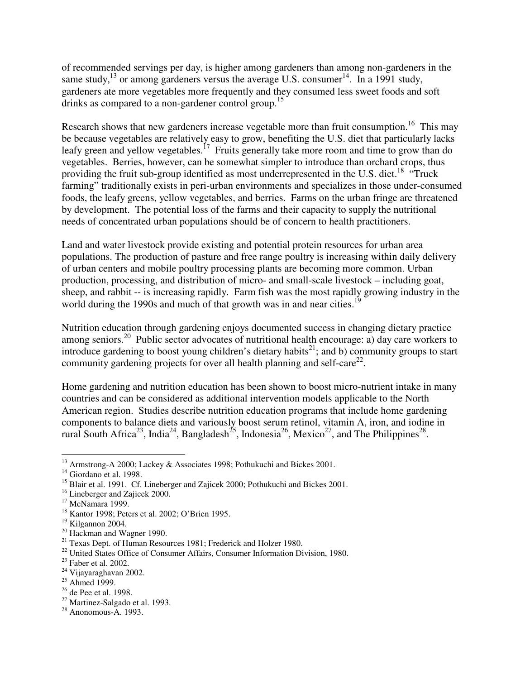of recommended servings per day, is higher among gardeners than among non-gardeners in the same study,<sup>13</sup> or among gardeners versus the average U.S. consumer<sup>14</sup>. In a 1991 study, gardeners ate more vegetables more frequently and they consumed less sweet foods and soft drinks as compared to a non-gardener control group.<sup>15</sup>

Research shows that new gardeners increase vegetable more than fruit consumption.<sup>16</sup> This may be because vegetables are relatively easy to grow, benefiting the U.S. diet that particularly lacks leafy green and yellow vegetables.<sup>17</sup> Fruits generally take more room and time to grow than do vegetables. Berries, however, can be somewhat simpler to introduce than orchard crops, thus providing the fruit sub-group identified as most underrepresented in the U.S. diet.<sup>18</sup> "Truck farming" traditionally exists in peri-urban environments and specializes in those under-consumed foods, the leafy greens, yellow vegetables, and berries. Farms on the urban fringe are threatened by development. The potential loss of the farms and their capacity to supply the nutritional needs of concentrated urban populations should be of concern to health practitioners.

Land and water livestock provide existing and potential protein resources for urban area populations. The production of pasture and free range poultry is increasing within daily delivery of urban centers and mobile poultry processing plants are becoming more common. Urban production, processing, and distribution of micro- and small-scale livestock – including goat, sheep, and rabbit -- is increasing rapidly. Farm fish was the most rapidly growing industry in the world during the 1990s and much of that growth was in and near cities.<sup>19</sup>

Nutrition education through gardening enjoys documented success in changing dietary practice among seniors.<sup>20</sup> Public sector advocates of nutritional health encourage: a) day care workers to introduce gardening to boost young children's dietary habits<sup>21</sup>; and b) community groups to start community gardening projects for over all health planning and self-care<sup>22</sup>.

Home gardening and nutrition education has been shown to boost micro-nutrient intake in many countries and can be considered as additional intervention models applicable to the North American region. Studies describe nutrition education programs that include home gardening components to balance diets and variously boost serum retinol, vitamin A, iron, and iodine in rural South Africa<sup>23</sup>, India<sup>24</sup>, Bangladesh<sup>25</sup>, Indonesia<sup>26</sup>, Mexico<sup>27</sup>, and The Philippines<sup>28</sup>.

<sup>&</sup>lt;sup>13</sup> Armstrong-A 2000; Lackey & Associates 1998; Pothukuchi and Bickes 2001.

<sup>&</sup>lt;sup>14</sup> Giordano et al. 1998.

<sup>&</sup>lt;sup>15</sup> Blair et al. 1991. Cf. Lineberger and Zajicek 2000; Pothukuchi and Bickes 2001.

<sup>&</sup>lt;sup>16</sup> Lineberger and Zajicek 2000.

<sup>&</sup>lt;sup>17</sup> McNamara 1999.

<sup>18</sup> Kantor 1998; Peters et al. 2002; O'Brien 1995.

<sup>19</sup> Kilgannon 2004.

<sup>&</sup>lt;sup>20</sup> Hackman and Wagner 1990.

 $21$  Texas Dept. of Human Resources 1981; Frederick and Holzer 1980.

<sup>&</sup>lt;sup>22</sup> United States Office of Consumer Affairs, Consumer Information Division, 1980.

 $23$  Faber et al. 2002.

<sup>24</sup> Vijayaraghavan 2002.

<sup>&</sup>lt;sup>25</sup> Ahmed 1999.

<sup>&</sup>lt;sup>26</sup> de Pee et al. 1998.

<sup>27</sup> Martinez-Salgado et al. 1993.

 $28$  Anonomous-A. 1993.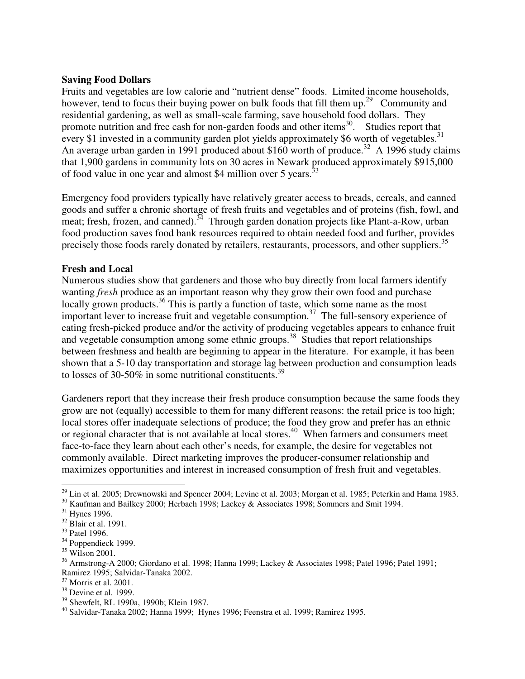#### **Saving Food Dollars**

Fruits and vegetables are low calorie and "nutrient dense" foods. Limited income households, however, tend to focus their buying power on bulk foods that fill them up.<sup>29</sup> Community and residential gardening, as well as small-scale farming, save household food dollars. They promote nutrition and free cash for non-garden foods and other items<sup>30</sup>. Studies report that every \$1 invested in a community garden plot yields approximately \$6 worth of vegetables.<sup>31</sup> An average urban garden in 1991 produced about \$160 worth of produce.<sup>32</sup> A 1996 study claims that 1,900 gardens in community lots on 30 acres in Newark produced approximately \$915,000 of food value in one year and almost \$4 million over 5 years.<sup>33</sup>

Emergency food providers typically have relatively greater access to breads, cereals, and canned goods and suffer a chronic shortage of fresh fruits and vegetables and of proteins (fish, fowl, and meat; fresh, frozen, and canned).<sup>34</sup> Through garden donation projects like Plant-a-Row, urban food production saves food bank resources required to obtain needed food and further, provides precisely those foods rarely donated by retailers, restaurants, processors, and other suppliers.<sup>35</sup>

# **Fresh and Local**

Numerous studies show that gardeners and those who buy directly from local farmers identify wanting *fresh* produce as an important reason why they grow their own food and purchase locally grown products.<sup>36</sup> This is partly a function of taste, which some name as the most important lever to increase fruit and vegetable consumption.<sup>37</sup> The full-sensory experience of eating fresh-picked produce and/or the activity of producing vegetables appears to enhance fruit and vegetable consumption among some ethnic groups. 38 Studies that report relationships between freshness and health are beginning to appear in the literature. For example, it has been shown that a 5-10 day transportation and storage lag between production and consumption leads to losses of 30-50% in some nutritional constituents.<sup>39</sup>

Gardeners report that they increase their fresh produce consumption because the same foods they grow are not (equally) accessible to them for many different reasons: the retail price is too high; local stores offer inadequate selections of produce; the food they grow and prefer has an ethnic or regional character that is not available at local stores.<sup>40</sup> When farmers and consumers meet face-to-face they learn about each other's needs, for example, the desire for vegetables not commonly available. Direct marketing improves the producer-consumer relationship and maximizes opportunities and interest in increased consumption of fresh fruit and vegetables.

 $^{29}$  Lin et al. 2005; Drewnowski and Spencer 2004; Levine et al. 2003; Morgan et al. 1985; Peterkin and Hama 1983.

<sup>&</sup>lt;sup>30</sup> Kaufman and Bailkey 2000; Herbach 1998; Lackey & Associates 1998; Sommers and Smit 1994.

<sup>31</sup> Hynes 1996.

<sup>32</sup> Blair et al. 1991.

<sup>33</sup> Patel 1996.

<sup>&</sup>lt;sup>34</sup> Poppendieck 1999.

<sup>35</sup> Wilson 2001.

<sup>36</sup> Armstrong-A 2000; Giordano et al. 1998; Hanna 1999; Lackey & Associates 1998; Patel 1996; Patel 1991; Ramirez 1995; Salvidar-Tanaka 2002.

<sup>37</sup> Morris et al. 2001.

<sup>&</sup>lt;sup>38</sup> Devine et al. 1999.

<sup>39</sup> Shewfelt, RL 1990a, 1990b; Klein 1987.

<sup>40</sup> Salvidar-Tanaka 2002; Hanna 1999; Hynes 1996; Feenstra et al. 1999; Ramirez 1995.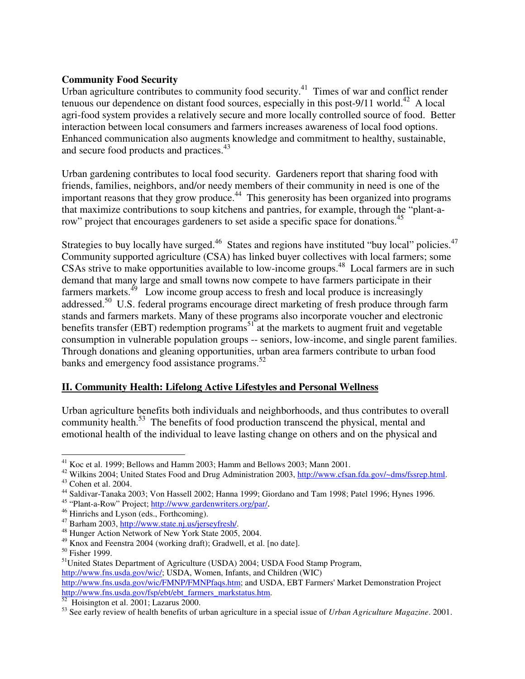### **Community Food Security**

Urban agriculture contributes to community food security.<sup>41</sup> Times of war and conflict render tenuous our dependence on distant food sources, especially in this post-9/11 world.<sup>42</sup> A local agri-food system provides a relatively secure and more locally controlled source of food. Better interaction between local consumers and farmers increases awareness of local food options. Enhanced communication also augments knowledge and commitment to healthy, sustainable, and secure food products and practices.<sup>43</sup>

Urban gardening contributes to local food security. Gardeners report that sharing food with friends, families, neighbors, and/or needy members of their community in need is one of the important reasons that they grow produce.<sup>44</sup> This generosity has been organized into programs that maximize contributions to soup kitchens and pantries, for example, through the "plant-arow" project that encourages gardeners to set aside a specific space for donations.<sup>45</sup>

Strategies to buy locally have surged.<sup>46</sup> States and regions have instituted "buy local" policies.<sup>47</sup> Community supported agriculture (CSA) has linked buyer collectives with local farmers; some CSAs strive to make opportunities available to low-income groups.<sup>48</sup> Local farmers are in such demand that many large and small towns now compete to have farmers participate in their farmers markets.<sup>49</sup> Low income group access to fresh and local produce is increasingly addressed.<sup>50</sup> U.S. federal programs encourage direct marketing of fresh produce through farm stands and farmers markets. Many of these programs also incorporate voucher and electronic benefits transfer (EBT) redemption programs<sup>51</sup> at the markets to augment fruit and vegetable consumption in vulnerable population groups -- seniors, low-income, and single parent families. Through donations and gleaning opportunities, urban area farmers contribute to urban food banks and emergency food assistance programs. 52

# **II. Community Health: Lifelong Active Lifestyles and Personal Wellness**

Urban agriculture benefits both individuals and neighborhoods, and thus contributes to overall community health.<sup>53</sup> The benefits of food production transcend the physical, mental and emotional health of the individual to leave lasting change on others and on the physical and

<sup>41</sup> Koc et al. 1999; Bellows and Hamm 2003; Hamm and Bellows 2003; Mann 2001.

<sup>&</sup>lt;sup>42</sup> Wilkins 2004; United States Food and Drug Administration 2003, http://www.cfsan.fda.gov/~dms/fssrep.html. <sup>43</sup> Cohen et al. 2004.

<sup>&</sup>lt;sup>44</sup> Saldivar-Tanaka 2003; Von Hassell 2002; Hanna 1999; Giordano and Tam 1998; Patel 1996; Hynes 1996.

<sup>&</sup>lt;sup>45</sup> "Plant-a-Row" Project; http://www.gardenwriters.org/par/.

<sup>&</sup>lt;sup>46</sup> Hinrichs and Lyson (eds., Forthcoming).

<sup>&</sup>lt;sup>47</sup> Barham 2003, http://www.state.nj.us/jerseyfresh/.

<sup>48</sup> Hunger Action Network of New York State 2005, 2004.

<sup>49</sup> Knox and Feenstra 2004 (working draft); Gradwell, et al. [no date].

<sup>&</sup>lt;sup>50</sup> Fisher 1999.

<sup>&</sup>lt;sup>51</sup>United States Department of Agriculture (USDA) 2004; USDA Food Stamp Program, http://www.fns.usda.gov/wic/; USDA, Women, Infants, and Children (WIC) http://www.fns.usda.gov/wic/FMNP/FMNPfaqs.htm; and USDA, EBT Farmers' Market Demonstration Project http://www.fns.usda.gov/fsp/ebt/ebt\_farmers\_markstatus.htm.

<sup>&</sup>lt;sup>52</sup> Hoisington et al. 2001; Lazarus 2000.

<sup>53</sup> See early review of health benefits of urban agriculture in a special issue of *Urban Agriculture Magazine*. 2001.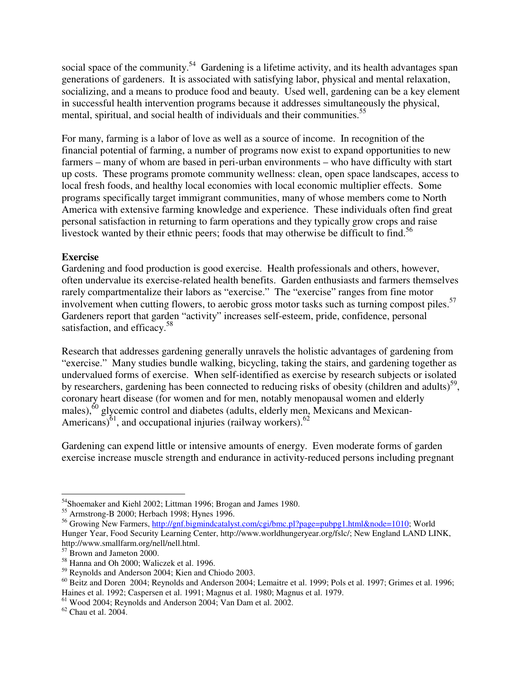social space of the community.<sup>54</sup> Gardening is a lifetime activity, and its health advantages span generations of gardeners. It is associated with satisfying labor, physical and mental relaxation, socializing, and a means to produce food and beauty. Used well, gardening can be a key element in successful health intervention programs because it addresses simultaneously the physical, mental, spiritual, and social health of individuals and their communities.<sup>55</sup>

For many, farming is a labor of love as well as a source of income. In recognition of the financial potential of farming, a number of programs now exist to expand opportunities to new farmers – many of whom are based in peri-urban environments – who have difficulty with start up costs. These programs promote community wellness: clean, open space landscapes, access to local fresh foods, and healthy local economies with local economic multiplier effects. Some programs specifically target immigrant communities, many of whose members come to North America with extensive farming knowledge and experience. These individuals often find great personal satisfaction in returning to farm operations and they typically grow crops and raise livestock wanted by their ethnic peers; foods that may otherwise be difficult to find.<sup>56</sup>

### **Exercise**

Gardening and food production is good exercise. Health professionals and others, however, often undervalue its exercise-related health benefits. Garden enthusiasts and farmers themselves rarely compartmentalize their labors as "exercise." The "exercise" ranges from fine motor involvement when cutting flowers, to aerobic gross motor tasks such as turning compost piles.<sup>57</sup> Gardeners report that garden "activity" increases self-esteem, pride, confidence, personal satisfaction, and efficacy.<sup>58</sup>

Research that addresses gardening generally unravels the holistic advantages of gardening from "exercise." Many studies bundle walking, bicycling, taking the stairs, and gardening together as undervalued forms of exercise. When self-identified as exercise by research subjects or isolated by researchers, gardening has been connected to reducing risks of obesity (children and adults)<sup>59</sup>, coronary heart disease (for women and for men, notably menopausal women and elderly males),<sup>60</sup> glycemic control and diabetes (adults, elderly men, Mexicans and Mexican-Americans) $^{61}$ , and occupational injuries (railway workers). $^{62}$ 

Gardening can expend little or intensive amounts of energy. Even moderate forms of garden exercise increase muscle strength and endurance in activity-reduced persons including pregnant

<sup>&</sup>lt;sup>54</sup>Shoemaker and Kiehl 2002; Littman 1996; Brogan and James 1980.

 $55$  Armstrong-B 2000; Herbach 1998; Hynes 1996.

<sup>&</sup>lt;sup>56</sup> Growing New Farmers, http://gnf.bigmindcatalyst.com/cgi/bmc.pl?page=pubpg1.html&node=1010; World Hunger Year, Food Security Learning Center, http://www.worldhungeryear.org/fslc/; New England LAND LINK, http://www.smallfarm.org/nell/nell.html.

<sup>57</sup> Brown and Jameton 2000.

<sup>58</sup> Hanna and Oh 2000; Waliczek et al. 1996.

<sup>59</sup> Reynolds and Anderson 2004; Kien and Chiodo 2003.

<sup>&</sup>lt;sup>60</sup> Beitz and Doren 2004; Reynolds and Anderson 2004; Lemaitre et al. 1999; Pols et al. 1997; Grimes et al. 1996; Haines et al. 1992; Caspersen et al. 1991; Magnus et al. 1980; Magnus et al. 1979.

<sup>61</sup> Wood 2004; Reynolds and Anderson 2004; Van Dam et al. 2002.

 $62$  Chau et al. 2004.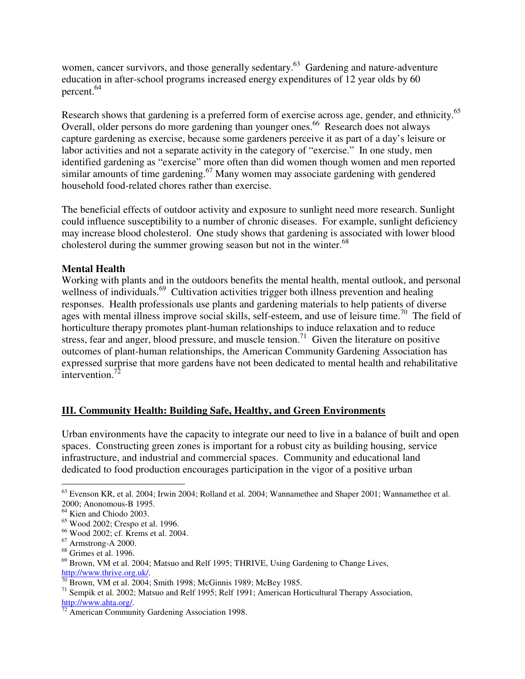women, cancer survivors, and those generally sedentary.<sup>63</sup> Gardening and nature-adventure education in after-school programs increased energy expenditures of 12 year olds by 60 percent. 64

Research shows that gardening is a preferred form of exercise across age, gender, and ethnicity.<sup>65</sup> Overall, older persons do more gardening than younger ones. <sup>66</sup> Research does not always capture gardening as exercise, because some gardeners perceive it as part of a day's leisure or labor activities and not a separate activity in the category of "exercise." In one study, men identified gardening as "exercise" more often than did women though women and men reported similar amounts of time gardening.<sup>67</sup> Many women may associate gardening with gendered household food-related chores rather than exercise.

The beneficial effects of outdoor activity and exposure to sunlight need more research. Sunlight could influence susceptibility to a number of chronic diseases. For example, sunlight deficiency may increase blood cholesterol. One study shows that gardening is associated with lower blood cholesterol during the summer growing season but not in the winter.<sup>68</sup>

# **Mental Health**

Working with plants and in the outdoors benefits the mental health, mental outlook, and personal wellness of individuals.<sup>69</sup> Cultivation activities trigger both illness prevention and healing responses. Health professionals use plants and gardening materials to help patients of diverse ages with mental illness improve social skills, self-esteem, and use of leisure time.<sup>70</sup> The field of horticulture therapy promotes plant-human relationships to induce relaxation and to reduce stress, fear and anger, blood pressure, and muscle tension.<sup>71</sup> Given the literature on positive outcomes of plant-human relationships, the American Community Gardening Association has expressed surprise that more gardens have not been dedicated to mental health and rehabilitative intervention.<sup>72</sup>

#### **III. Community Health: Building Safe, Healthy, and Green Environments**

Urban environments have the capacity to integrate our need to live in a balance of built and open spaces. Constructing green zones is important for a robust city as building housing, service infrastructure, and industrial and commercial spaces. Community and educational land dedicated to food production encourages participation in the vigor of a positive urban

 $^{63}$  Evenson KR, et al. 2004; Irwin 2004; Rolland et al. 2004; Wannamethee and Shaper 2001; Wannamethee et al. 2000; Anonomous-B 1995.

<sup>64</sup> Kien and Chiodo 2003.

<sup>65</sup> Wood 2002; Crespo et al. 1996.

<sup>66</sup> Wood 2002; cf. Krems et al. 2004.

<sup>67</sup> Armstrong-A 2000.

 $68$  Grimes et al. 1996.

 $69$  Brown, VM et al. 2004; Matsuo and Relf 1995; THRIVE, Using Gardening to Change Lives, http://www.thrive.org.uk/.

 $\frac{1}{70}$  Brown, VM et al. 2004; Smith 1998; McGinnis 1989; McBey 1985.

<sup>&</sup>lt;sup>71</sup> Sempik et al. 2002; Matsuo and Relf 1995; Relf 1991; American Horticultural Therapy Association, http://www.ahta.org/.

 $72$  American Community Gardening Association 1998.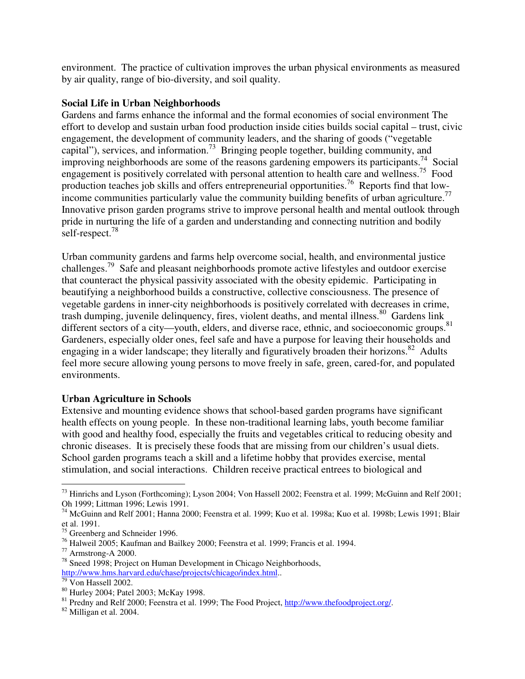environment. The practice of cultivation improves the urban physical environments as measured by air quality, range of bio-diversity, and soil quality.

#### **Social Life in Urban Neighborhoods**

Gardens and farms enhance the informal and the formal economies of social environment The effort to develop and sustain urban food production inside cities builds social capital – trust, civic engagement, the development of community leaders, and the sharing of goods ("vegetable capital"), services, and information.<sup>73</sup> Bringing people together, building community, and improving neighborhoods are some of the reasons gardening empowers its participants.<sup>74</sup> Social engagement is positively correlated with personal attention to health care and wellness.<sup>75</sup> Food production teaches job skills and offers entrepreneurial opportunities.<sup>76</sup> Reports find that lowincome communities particularly value the community building benefits of urban agriculture.<sup>77</sup> Innovative prison garden programs strive to improve personal health and mental outlook through pride in nurturing the life of a garden and understanding and connecting nutrition and bodily self-respect.<sup>78</sup>

Urban community gardens and farms help overcome social, health, and environmental justice challenges.<sup>79</sup> Safe and pleasant neighborhoods promote active lifestyles and outdoor exercise that counteract the physical passivity associated with the obesity epidemic. Participating in beautifying a neighborhood builds a constructive, collective consciousness. The presence of vegetable gardens in inner-city neighborhoods is positively correlated with decreases in crime, trash dumping, juvenile delinquency, fires, violent deaths, and mental illness.<sup>80</sup> Gardens link different sectors of a city—youth, elders, and diverse race, ethnic, and socioeconomic groups.<sup>81</sup> Gardeners, especially older ones, feel safe and have a purpose for leaving their households and engaging in a wider landscape; they literally and figuratively broaden their horizons.<sup>82</sup> Adults feel more secure allowing young persons to move freely in safe, green, cared-for, and populated environments.

# **Urban Agriculture in Schools**

Extensive and mounting evidence shows that school-based garden programs have significant health effects on young people. In these non-traditional learning labs, youth become familiar with good and healthy food, especially the fruits and vegetables critical to reducing obesity and chronic diseases. It is precisely these foods that are missing from our children's usual diets. School garden programs teach a skill and a lifetime hobby that provides exercise, mental stimulation, and social interactions. Children receive practical entrees to biological and

<sup>&</sup>lt;sup>73</sup> Hinrichs and Lyson (Forthcoming); Lyson 2004; Von Hassell 2002; Feenstra et al. 1999; McGuinn and Relf 2001; Oh 1999; Littman 1996; Lewis 1991.

 $^{74}$  McGuinn and Relf 2001; Hanna 2000; Feenstra et al. 1999; Kuo et al. 1998a; Kuo et al. 1998b; Lewis 1991; Blair et al. 1991.

<sup>75</sup> Greenberg and Schneider 1996.

 $76$  Halweil 2005; Kaufman and Bailkey 2000; Feenstra et al. 1999; Francis et al. 1994.

<sup>77</sup> Armstrong-A 2000.

<sup>&</sup>lt;sup>78</sup> Sneed 1998; Project on Human Development in Chicago Neighborhoods, http://www.hms.harvard.edu/chase/projects/chicago/index.html..

 $\frac{79}{79}$  Von Hassell 2002.

<sup>80</sup> Hurley 2004; Patel 2003; McKay 1998.

<sup>&</sup>lt;sup>81</sup> Predny and Relf 2000; Feenstra et al. 1999; The Food Project, http://www.thefoodproject.org/.

<sup>82</sup> Milligan et al. 2004.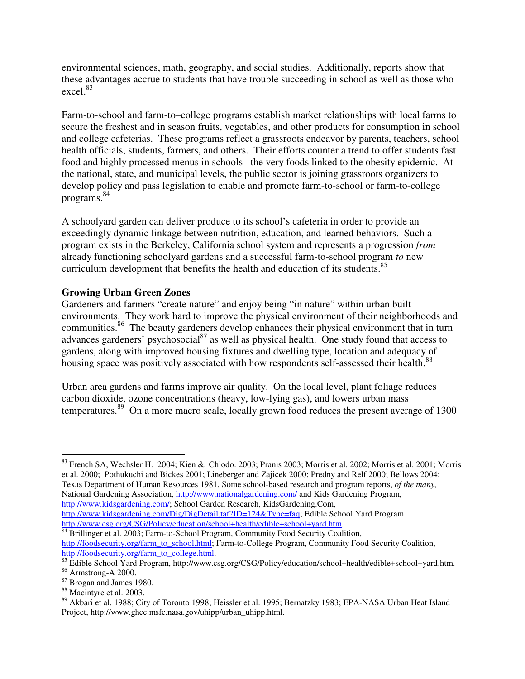environmental sciences, math, geography, and social studies. Additionally, reports show that these advantages accrue to students that have trouble succeeding in school as well as those who excel. 83

Farm-to-school and farm-to–college programs establish market relationships with local farms to secure the freshest and in season fruits, vegetables, and other products for consumption in school and college cafeterias. These programs reflect a grassroots endeavor by parents, teachers, school health officials, students, farmers, and others. Their efforts counter a trend to offer students fast food and highly processed menus in schools –the very foods linked to the obesity epidemic. At the national, state, and municipal levels, the public sector is joining grassroots organizers to develop policy and pass legislation to enable and promote farm-to-school or farm-to-college programs. 84

A schoolyard garden can deliver produce to its school's cafeteria in order to provide an exceedingly dynamic linkage between nutrition, education, and learned behaviors. Such a program exists in the Berkeley, California school system and represents a progression *from* already functioning schoolyard gardens and a successful farm-to-school program *to* new curriculum development that benefits the health and education of its students.<sup>85</sup>

# **Growing Urban Green Zones**

Gardeners and farmers "create nature" and enjoy being "in nature" within urban built environments. They work hard to improve the physical environment of their neighborhoods and communities.<sup>86</sup> The beauty gardeners develop enhances their physical environment that in turn advances gardeners' psychosocial<sup>87</sup> as well as physical health. One study found that access to gardens, along with improved housing fixtures and dwelling type, location and adequacy of housing space was positively associated with how respondents self-assessed their health.<sup>88</sup>

Urban area gardens and farms improve air quality. On the local level, plant foliage reduces carbon dioxide, ozone concentrations (heavy, low-lying gas), and lowers urban mass temperatures.<sup>89</sup> On a more macro scale, locally grown food reduces the present average of 1300

http://www.csg.org/CSG/Policy/education/school+health/edible+school+yard.htm.

<sup>84</sup> Brillinger et al. 2003; Farm-to-School Program, Community Food Security Coalition, http://foodsecurity.org/farm\_to\_school.html; Farm-to-College Program, Community Food Security Coalition, http://foodsecurity.org/farm\_to\_college.html.

<sup>83</sup> French SA, Wechsler H. 2004; Kien & Chiodo. 2003; Pranis 2003; Morris et al. 2002; Morris et al. 2001; Morris et al. 2000; Pothukuchi and Bickes 2001; Lineberger and Zajicek 2000; Predny and Relf 2000; Bellows 2004; Texas Department of Human Resources 1981. Some school-based research and program reports, *of the many,* National Gardening Association, http://www.nationalgardening.com/ and Kids Gardening Program, http://www.kidsgardening.com/; School Garden Research, KidsGardening.Com, http://www.kidsgardening.com/Dig/DigDetail.taf?ID=124&Type=faq; Edible School Yard Program.

<sup>85</sup> Edible School Yard Program, http://www.csg.org/CSG/Policy/education/school+health/edible+school+yard.htm.

<sup>86</sup> Armstrong-A 2000.

<sup>87</sup> Brogan and James 1980.

<sup>88</sup> Macintyre et al. 2003.

<sup>89</sup> Akbari et al. 1988; City of Toronto 1998; Heissler et al. 1995; Bernatzky 1983; EPA-NASA Urban Heat Island Project, http://www.ghcc.msfc.nasa.gov/uhipp/urban\_uhipp.html.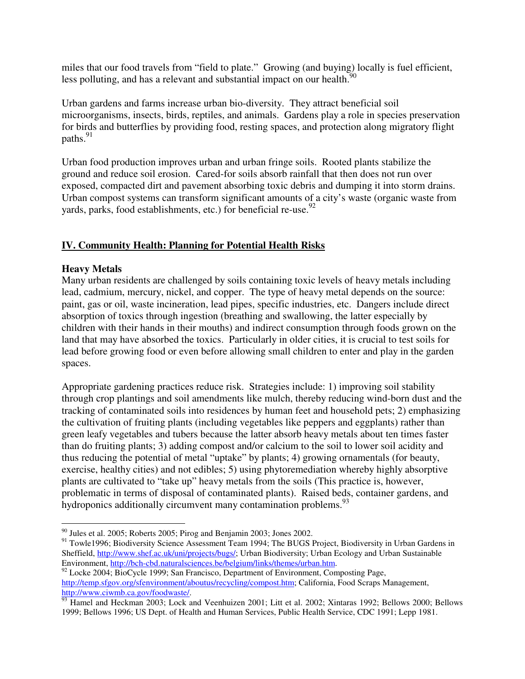miles that our food travels from "field to plate." Growing (and buying) locally is fuel efficient, less polluting, and has a relevant and substantial impact on our health.<sup>90</sup>

Urban gardens and farms increase urban bio-diversity. They attract beneficial soil microorganisms, insects, birds, reptiles, and animals. Gardens play a role in species preservation for birds and butterflies by providing food, resting spaces, and protection along migratory flight paths.<sup>91</sup>

Urban food production improves urban and urban fringe soils. Rooted plants stabilize the ground and reduce soil erosion. Cared-for soils absorb rainfall that then does not run over exposed, compacted dirt and pavement absorbing toxic debris and dumping it into storm drains. Urban compost systems can transform significant amounts of a city's waste (organic waste from yards, parks, food establishments, etc.) for beneficial re-use.<sup>92</sup>

# **IV. Community Health: Planning for Potential Health Risks**

# **Heavy Metals**

Many urban residents are challenged by soils containing toxic levels of heavy metals including lead, cadmium, mercury, nickel, and copper. The type of heavy metal depends on the source: paint, gas or oil, waste incineration, lead pipes, specific industries, etc. Dangers include direct absorption of toxics through ingestion (breathing and swallowing, the latter especially by children with their hands in their mouths) and indirect consumption through foods grown on the land that may have absorbed the toxics. Particularly in older cities, it is crucial to test soils for lead before growing food or even before allowing small children to enter and play in the garden spaces.

Appropriate gardening practices reduce risk. Strategies include: 1) improving soil stability through crop plantings and soil amendments like mulch, thereby reducing wind-born dust and the tracking of contaminated soils into residences by human feet and household pets; 2) emphasizing the cultivation of fruiting plants (including vegetables like peppers and eggplants) rather than green leafy vegetables and tubers because the latter absorb heavy metals about ten times faster than do fruiting plants; 3) adding compost and/or calcium to the soil to lower soil acidity and thus reducing the potential of metal "uptake" by plants; 4) growing ornamentals (for beauty, exercise, healthy cities) and not edibles; 5) using phytoremediation whereby highly absorptive plants are cultivated to "take up" heavy metals from the soils (This practice is, however, problematic in terms of disposal of contaminated plants). Raised beds, container gardens, and hydroponics additionally circumvent many contamination problems.<sup>93</sup>

 $90$  Jules et al. 2005; Roberts 2005; Pirog and Benjamin 2003; Jones 2002.

<sup>&</sup>lt;sup>91</sup> Towle1996; Biodiversity Science Assessment Team 1994; The BUGS Project, Biodiversity in Urban Gardens in Sheffield, http://www.shef.ac.uk/uni/projects/bugs/; Urban Biodiversity; Urban Ecology and Urban Sustainable Environment, http://bch-cbd.naturalsciences.be/belgium/links/themes/urban.htm.

<sup>&</sup>lt;sup>92</sup> Locke 2004; BioCycle 1999; San Francisco, Department of Environment, Composting Page, http://temp.sfgov.org/sfenvironment/aboutus/recycling/compost.htm; California, Food Scraps Management, http://www.ciwmb.ca.gov/foodwaste/.

<sup>&</sup>lt;sup>93</sup> Hamel and Heckman 2003; Lock and Veenhuizen 2001; Litt et al. 2002; Xintaras 1992; Bellows 2000; Bellows 1999; Bellows 1996; US Dept. of Health and Human Services, Public Health Service, CDC 1991; Lepp 1981.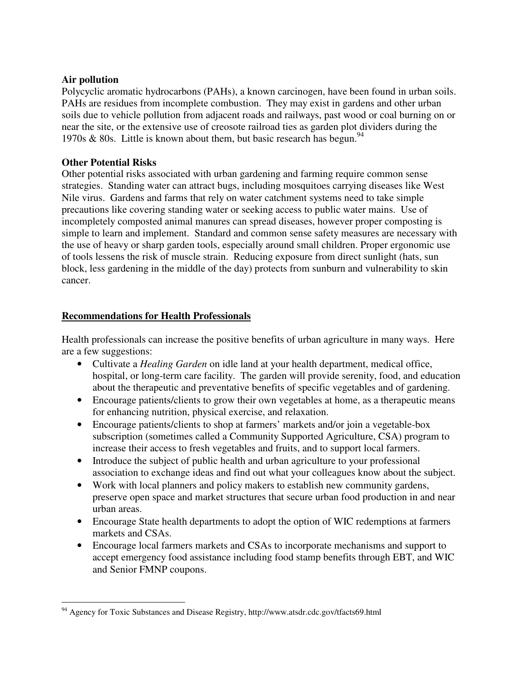#### **Air pollution**

Polycyclic aromatic hydrocarbons (PAHs), a known carcinogen, have been found in urban soils. PAHs are residues from incomplete combustion. They may exist in gardens and other urban soils due to vehicle pollution from adjacent roads and railways, past wood or coal burning on or near the site, or the extensive use of creosote railroad ties as garden plot dividers during the 1970s & 80s. Little is known about them, but basic research has begun.<sup>94</sup>

### **Other Potential Risks**

Other potential risks associated with urban gardening and farming require common sense strategies. Standing water can attract bugs, including mosquitoes carrying diseases like West Nile virus. Gardens and farms that rely on water catchment systems need to take simple precautions like covering standing water or seeking access to public water mains. Use of incompletely composted animal manures can spread diseases, however proper composting is simple to learn and implement. Standard and common sense safety measures are necessary with the use of heavy or sharp garden tools, especially around small children. Proper ergonomic use of tools lessens the risk of muscle strain. Reducing exposure from direct sunlight (hats, sun block, less gardening in the middle of the day) protects from sunburn and vulnerability to skin cancer.

### **Recommendations for Health Professionals**

Health professionals can increase the positive benefits of urban agriculture in many ways. Here are a few suggestions:

- Cultivate a *Healing Garden* on idle land at your health department, medical office, hospital, or long-term care facility. The garden will provide serenity, food, and education about the therapeutic and preventative benefits of specific vegetables and of gardening.
- Encourage patients/clients to grow their own vegetables at home, as a therapeutic means for enhancing nutrition, physical exercise, and relaxation.
- Encourage patients/clients to shop at farmers' markets and/or join a vegetable-box subscription (sometimes called a Community Supported Agriculture, CSA) program to increase their access to fresh vegetables and fruits, and to support local farmers.
- Introduce the subject of public health and urban agriculture to your professional association to exchange ideas and find out what your colleagues know about the subject.
- Work with local planners and policy makers to establish new community gardens, preserve open space and market structures that secure urban food production in and near urban areas.
- Encourage State health departments to adopt the option of WIC redemptions at farmers markets and CSAs.
- Encourage local farmers markets and CSAs to incorporate mechanisms and support to accept emergency food assistance including food stamp benefits through EBT, and WIC and Senior FMNP coupons.

<sup>&</sup>lt;sup>94</sup> Agency for Toxic Substances and Disease Registry, http://www.atsdr.cdc.gov/tfacts69.html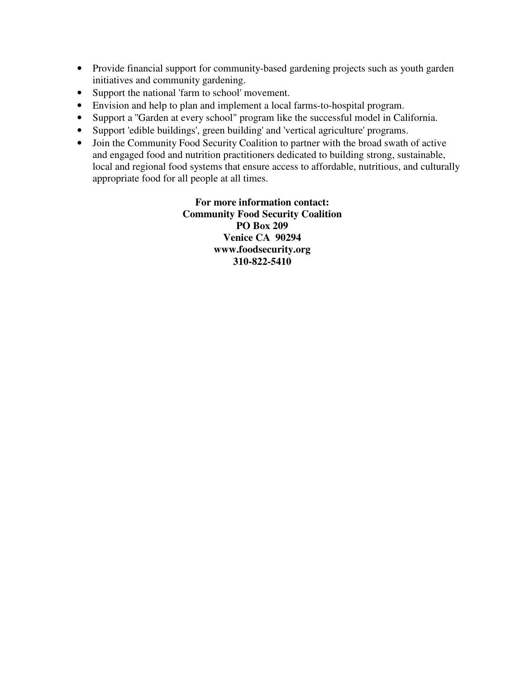- Provide financial support for community-based gardening projects such as youth garden initiatives and community gardening.
- Support the national 'farm to school' movement.
- Envision and help to plan and implement a local farms-to-hospital program.
- Support a ''Garden at every school" program like the successful model in California.
- Support 'edible buildings', green building' and 'vertical agriculture' programs.
- Join the Community Food Security Coalition to partner with the broad swath of active and engaged food and nutrition practitioners dedicated to building strong, sustainable, local and regional food systems that ensure access to affordable, nutritious, and culturally appropriate food for all people at all times.

**For more information contact: Community Food Security Coalition PO Box 209 Venice CA 90294 www.foodsecurity.org 310-822-5410**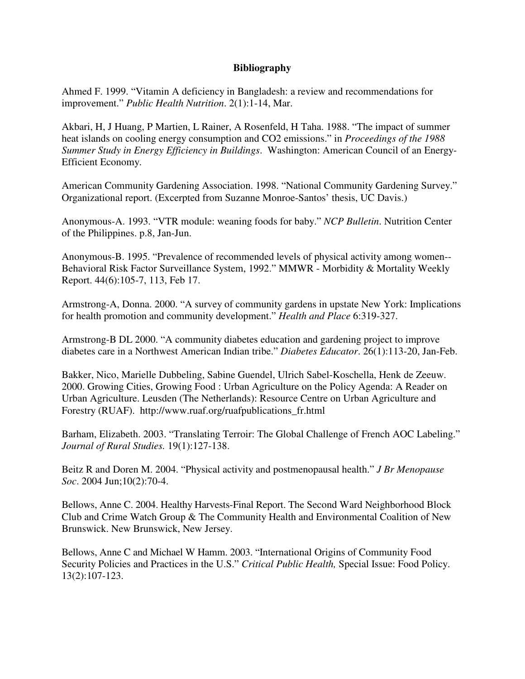#### **Bibliography**

Ahmed F. 1999. "Vitamin A deficiency in Bangladesh: a review and recommendations for improvement." *Public Health Nutrition*. 2(1):1-14, Mar.

Akbari, H, J Huang, P Martien, L Rainer, A Rosenfeld, H Taha. 1988. "The impact of summer heat islands on cooling energy consumption and CO2 emissions." in *Proceedings of the 1988 Summer Study in Energy Efficiency in Buildings*. Washington: American Council of an Energy-Efficient Economy.

American Community Gardening Association. 1998. "National Community Gardening Survey." Organizational report. (Excerpted from Suzanne Monroe-Santos' thesis, UC Davis.)

Anonymous-A. 1993. "VTR module: weaning foods for baby." *NCP Bulletin*. Nutrition Center of the Philippines. p.8, Jan-Jun.

Anonymous-B. 1995. "Prevalence of recommended levels of physical activity among women-- Behavioral Risk Factor Surveillance System, 1992." MMWR - Morbidity & Mortality Weekly Report. 44(6):105-7, 113, Feb 17.

Armstrong-A, Donna. 2000. "A survey of community gardens in upstate New York: Implications for health promotion and community development." *Health and Place* 6:319-327.

Armstrong-B DL 2000. "A community diabetes education and gardening project to improve diabetes care in a Northwest American Indian tribe." *Diabetes Educator*. 26(1):113-20, Jan-Feb.

Bakker, Nico, Marielle Dubbeling, Sabine Guendel, Ulrich Sabel-Koschella, Henk de Zeeuw. 2000. Growing Cities, Growing Food : Urban Agriculture on the Policy Agenda: A Reader on Urban Agriculture. Leusden (The Netherlands): Resource Centre on Urban Agriculture and Forestry (RUAF). http://www.ruaf.org/ruafpublications\_fr.html

Barham, Elizabeth. 2003. "Translating Terroir: The Global Challenge of French AOC Labeling." *Journal of Rural Studies.* 19(1):127-138.

Beitz R and Doren M. 2004. "Physical activity and postmenopausal health." *J Br Menopause Soc*. 2004 Jun;10(2):70-4.

Bellows, Anne C. 2004. Healthy Harvests-Final Report. The Second Ward Neighborhood Block Club and Crime Watch Group & The Community Health and Environmental Coalition of New Brunswick. New Brunswick, New Jersey.

Bellows, Anne C and Michael W Hamm. 2003. "International Origins of Community Food Security Policies and Practices in the U.S." *Critical Public Health,* Special Issue: Food Policy. 13(2):107-123.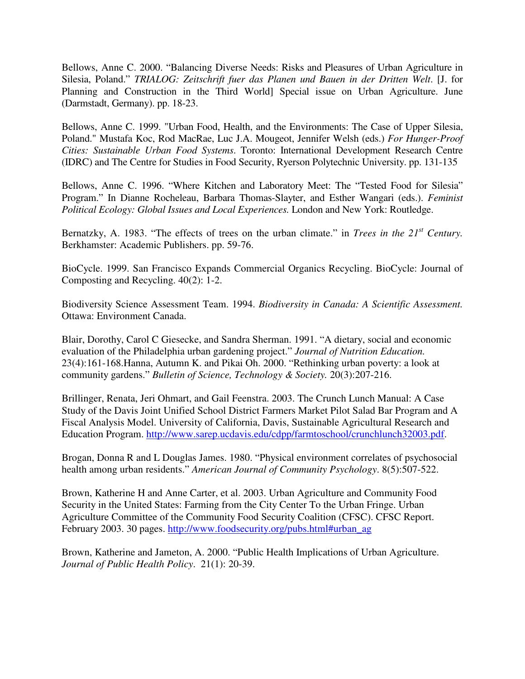Bellows, Anne C. 2000. "Balancing Diverse Needs: Risks and Pleasures of Urban Agriculture in Silesia, Poland." *TRIALOG: Zeitschrift fuer das Planen und Bauen in der Dritten Welt*. [J. for Planning and Construction in the Third World] Special issue on Urban Agriculture. June (Darmstadt, Germany). pp. 18-23.

Bellows, Anne C. 1999. "Urban Food, Health, and the Environments: The Case of Upper Silesia, Poland." Mustafa Koc, Rod MacRae, Luc J.A. Mougeot, Jennifer Welsh (eds.) *For Hunger-Proof Cities: Sustainable Urban Food Systems*. Toronto: International Development Research Centre (IDRC) and The Centre for Studies in Food Security, Ryerson Polytechnic University. pp. 131-135

Bellows, Anne C. 1996. "Where Kitchen and Laboratory Meet: The "Tested Food for Silesia" Program." In Dianne Rocheleau, Barbara Thomas-Slayter, and Esther Wangari (eds.). *Feminist Political Ecology: Global Issues and Local Experiences.* London and New York: Routledge.

Bernatzky, A. 1983. "The effects of trees on the urban climate." in *Trees in the 21 st Century.* Berkhamster: Academic Publishers. pp. 59-76.

BioCycle. 1999. San Francisco Expands Commercial Organics Recycling. BioCycle: Journal of Composting and Recycling. 40(2): 1-2.

Biodiversity Science Assessment Team. 1994. *Biodiversity in Canada: A Scientific Assessment.* Ottawa: Environment Canada.

Blair, Dorothy, Carol C Giesecke, and Sandra Sherman. 1991. "A dietary, social and economic evaluation of the Philadelphia urban gardening project." *Journal of Nutrition Education.* 23(4):161-168.Hanna, Autumn K. and Pikai Oh. 2000. "Rethinking urban poverty: a look at community gardens." *Bulletin of Science, Technology & Society.* 20(3):207-216.

Brillinger, Renata, Jeri Ohmart, and Gail Feenstra. 2003. The Crunch Lunch Manual: A Case Study of the Davis Joint Unified School District Farmers Market Pilot Salad Bar Program and A Fiscal Analysis Model. University of California, Davis, Sustainable Agricultural Research and Education Program. http://www.sarep.ucdavis.edu/cdpp/farmtoschool/crunchlunch32003.pdf.

Brogan, Donna R and L Douglas James. 1980. "Physical environment correlates of psychosocial health among urban residents." *American Journal of Community Psychology*. 8(5):507-522.

Brown, Katherine H and Anne Carter, et al. 2003. Urban Agriculture and Community Food Security in the United States: Farming from the City Center To the Urban Fringe. Urban Agriculture Committee of the Community Food Security Coalition (CFSC). CFSC Report. February 2003. 30 pages. http://www.foodsecurity.org/pubs.html#urban\_ag

Brown, Katherine and Jameton, A. 2000. "Public Health Implications of Urban Agriculture. *Journal of Public Health Policy*. 21(1): 20-39.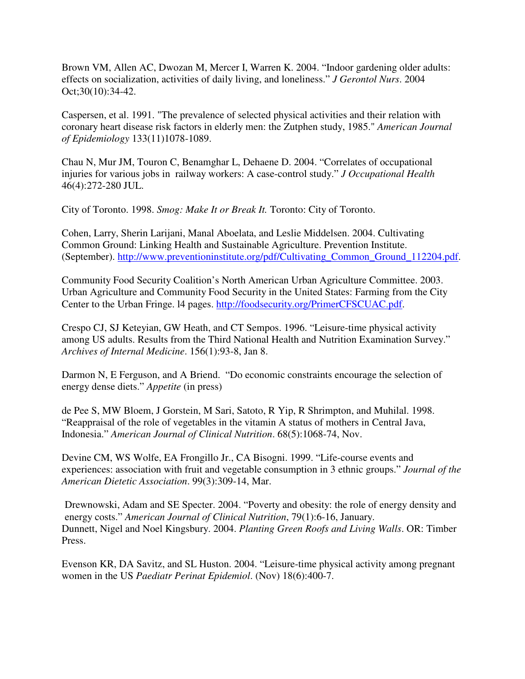Brown VM, Allen AC, Dwozan M, Mercer I, Warren K. 2004. "Indoor gardening older adults: effects on socialization, activities of daily living, and loneliness." *J Gerontol Nurs*. 2004 Oct;30(10):34-42.

Caspersen, et al. 1991. "The prevalence of selected physical activities and their relation with coronary heart disease risk factors in elderly men: the Zutphen study, 1985." *American Journal of Epidemiology* 133(11)1078-1089.

Chau N, Mur JM, Touron C, Benamghar L, Dehaene D. 2004. "Correlates of occupational injuries for various jobs in railway workers: A case-control study." *J Occupational Health* 46(4):272-280 JUL.

City of Toronto. 1998. *Smog: Make It or Break It.* Toronto: City of Toronto.

Cohen, Larry, Sherin Larijani, Manal Aboelata, and Leslie Middelsen. 2004. Cultivating Common Ground: Linking Health and Sustainable Agriculture. Prevention Institute. (September). http://www.preventioninstitute.org/pdf/Cultivating\_Common\_Ground\_112204.pdf.

Community Food Security Coalition's North American Urban Agriculture Committee. 2003. Urban Agriculture and Community Food Security in the United States: Farming from the City Center to the Urban Fringe. l4 pages. http://foodsecurity.org/PrimerCFSCUAC.pdf.

Crespo CJ, SJ Keteyian, GW Heath, and CT Sempos. 1996. "Leisure-time physical activity among US adults. Results from the Third National Health and Nutrition Examination Survey." *Archives of Internal Medicine*. 156(1):93-8, Jan 8.

Darmon N, E Ferguson, and A Briend. "Do economic constraints encourage the selection of energy dense diets." *Appetite* (in press)

de Pee S, MW Bloem, J Gorstein, M Sari, Satoto, R Yip, R Shrimpton, and Muhilal. 1998. "Reappraisal of the role of vegetables in the vitamin A status of mothers in Central Java, Indonesia." *American Journal of Clinical Nutrition*. 68(5):1068-74, Nov.

Devine CM, WS Wolfe, EA Frongillo Jr., CA Bisogni. 1999. "Life-course events and experiences: association with fruit and vegetable consumption in 3 ethnic groups." *Journal of the American Dietetic Association*. 99(3):309-14, Mar.

Drewnowski, Adam and SE Specter. 2004. "Poverty and obesity: the role of energy density and energy costs." *American Journal of Clinical Nutrition*, 79(1):6-16, January. Dunnett, Nigel and Noel Kingsbury. 2004. *Planting Green Roofs and Living Walls*. OR: Timber Press.

Evenson KR, DA Savitz, and SL Huston. 2004. "Leisure-time physical activity among pregnant women in the US *Paediatr Perinat Epidemiol*. (Nov) 18(6):400-7.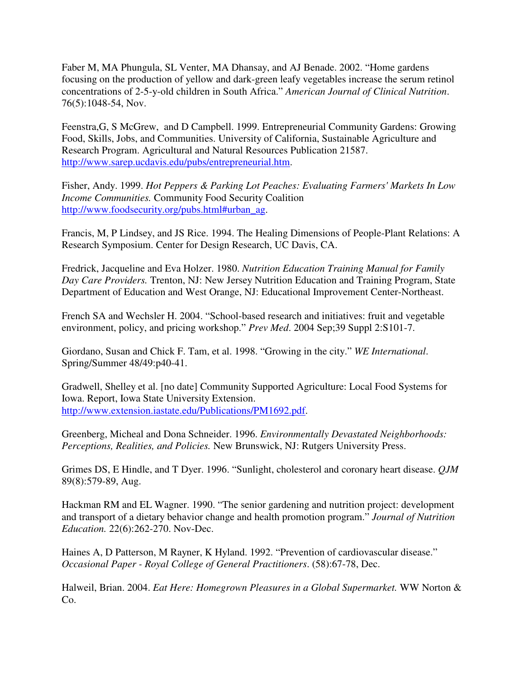Faber M, MA Phungula, SL Venter, MA Dhansay, and AJ Benade. 2002. "Home gardens focusing on the production of yellow and dark-green leafy vegetables increase the serum retinol concentrations of 2-5-y-old children in South Africa." *American Journal of Clinical Nutrition*. 76(5):1048-54, Nov.

Feenstra,G, S McGrew, and D Campbell. 1999. Entrepreneurial Community Gardens: Growing Food, Skills, Jobs, and Communities. University of California, Sustainable Agriculture and Research Program. Agricultural and Natural Resources Publication 21587. http://www.sarep.ucdavis.edu/pubs/entrepreneurial.htm.

Fisher, Andy. 1999. *Hot Peppers & Parking Lot Peaches: Evaluating Farmers' Markets In Low Income Communities.* Community Food Security Coalition http://www.foodsecurity.org/pubs.html#urban\_ag.

Francis, M, P Lindsey, and JS Rice. 1994. The Healing Dimensions of People-Plant Relations: A Research Symposium. Center for Design Research, UC Davis, CA.

Fredrick, Jacqueline and Eva Holzer. 1980. *Nutrition Education Training Manual for Family Day Care Providers.* Trenton, NJ: New Jersey Nutrition Education and Training Program, State Department of Education and West Orange, NJ: Educational Improvement Center-Northeast.

French SA and Wechsler H. 2004. "School-based research and initiatives: fruit and vegetable environment, policy, and pricing workshop." *Prev Med*. 2004 Sep;39 Suppl 2:S101-7.

Giordano, Susan and Chick F. Tam, et al. 1998. "Growing in the city." *WE International*. Spring/Summer 48/49:p40-41.

Gradwell, Shelley et al. [no date] Community Supported Agriculture: Local Food Systems for Iowa. Report, Iowa State University Extension. http://www.extension.iastate.edu/Publications/PM1692.pdf.

Greenberg, Micheal and Dona Schneider. 1996. *Environmentally Devastated Neighborhoods: Perceptions, Realities, and Policies.* New Brunswick, NJ: Rutgers University Press.

Grimes DS, E Hindle, and T Dyer. 1996. "Sunlight, cholesterol and coronary heart disease. *QJM* 89(8):579-89, Aug.

Hackman RM and EL Wagner. 1990. "The senior gardening and nutrition project: development and transport of a dietary behavior change and health promotion program." *Journal of Nutrition Education.* 22(6):262-270. Nov-Dec.

Haines A, D Patterson, M Rayner, K Hyland. 1992. "Prevention of cardiovascular disease." *Occasional Paper - Royal College of General Practitioners*. (58):67-78, Dec.

Halweil, Brian. 2004. *Eat Here: Homegrown Pleasures in a Global Supermarket.* WW Norton & Co.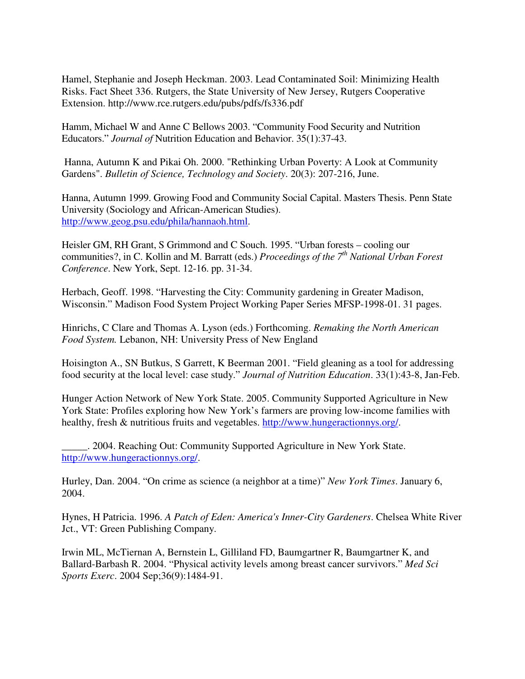Hamel, Stephanie and Joseph Heckman. 2003. Lead Contaminated Soil: Minimizing Health Risks. Fact Sheet 336. Rutgers, the State University of New Jersey, Rutgers Cooperative Extension. http://www.rce.rutgers.edu/pubs/pdfs/fs336.pdf

Hamm, Michael W and Anne C Bellows 2003. "Community Food Security and Nutrition Educators." *Journal of* Nutrition Education and Behavior. 35(1):37-43.

Hanna, Autumn K and Pikai Oh. 2000. "Rethinking Urban Poverty: A Look at Community Gardens". *Bulletin of Science, Technology and Society*. 20(3): 207-216, June.

Hanna, Autumn 1999. Growing Food and Community Social Capital. Masters Thesis. Penn State University (Sociology and African-American Studies). http://www.geog.psu.edu/phila/hannaoh.html.

Heisler GM, RH Grant, S Grimmond and C Souch. 1995. "Urban forests – cooling our communities?, in C. Kollin and M. Barratt (eds.) *Proceedings of the 7 th National Urban Forest Conference*. New York, Sept. 12-16. pp. 31-34.

Herbach, Geoff. 1998. "Harvesting the City: Community gardening in Greater Madison, Wisconsin." Madison Food System Project Working Paper Series MFSP-1998-01. 31 pages.

Hinrichs, C Clare and Thomas A. Lyson (eds.) Forthcoming. *Remaking the North American Food System.* Lebanon, NH: University Press of New England

Hoisington A., SN Butkus, S Garrett, K Beerman 2001. "Field gleaning as a tool for addressing food security at the local level: case study." *Journal of Nutrition Education*. 33(1):43-8, Jan-Feb.

Hunger Action Network of New York State. 2005. Community Supported Agriculture in New York State: Profiles exploring how New York's farmers are proving low-income families with healthy, fresh & nutritious fruits and vegetables. http://www.hungeractionnys.org/.

\_\_\_\_\_. 2004. Reaching Out: Community Supported Agriculture in New York State. http://www.hungeractionnys.org/.

Hurley, Dan. 2004. "On crime as science (a neighbor at a time)" *New York Times*. January 6, 2004.

Hynes, H Patricia. 1996. *A Patch of Eden: America's Inner-City Gardeners*. Chelsea White River Jct., VT: Green Publishing Company.

Irwin ML, McTiernan A, Bernstein L, Gilliland FD, Baumgartner R, Baumgartner K, and Ballard-Barbash R. 2004. "Physical activity levels among breast cancer survivors." *Med Sci Sports Exerc*. 2004 Sep;36(9):1484-91.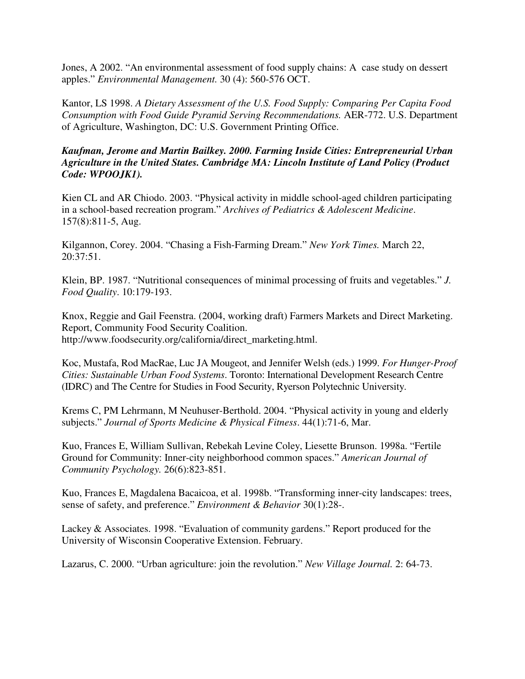Jones, A 2002. "An environmental assessment of food supply chains: A case study on dessert apples." *Environmental Management.* 30 (4): 560-576 OCT.

Kantor, LS 1998. *A Dietary Assessment of the U.S. Food Supply: Comparing Per Capita Food Consumption with Food Guide Pyramid Serving Recommendations.* AER-772. U.S. Department of Agriculture, Washington, DC: U.S. Government Printing Office.

### *Kaufman, Jerome and Martin Bailkey. 2000. Farming Inside Cities: Entrepreneurial Urban Agriculture in the United States. Cambridge MA: Lincoln Institute of Land Policy (Product Code: WPOOJK1).*

Kien CL and AR Chiodo. 2003. "Physical activity in middle school-aged children participating in a school-based recreation program." *Archives of Pediatrics & Adolescent Medicine*. 157(8):811-5, Aug.

Kilgannon, Corey. 2004. "Chasing a Fish-Farming Dream." *New York Times.* March 22, 20:37:51.

Klein, BP. 1987. "Nutritional consequences of minimal processing of fruits and vegetables." *J. Food Quality*. 10:179-193.

Knox, Reggie and Gail Feenstra. (2004, working draft) Farmers Markets and Direct Marketing. Report, Community Food Security Coalition. http://www.foodsecurity.org/california/direct\_marketing.html.

Koc, Mustafa, Rod MacRae, Luc JA Mougeot, and Jennifer Welsh (eds.) 1999. *For Hunger-Proof Cities: Sustainable Urban Food Systems*. Toronto: International Development Research Centre (IDRC) and The Centre for Studies in Food Security, Ryerson Polytechnic University.

Krems C, PM Lehrmann, M Neuhuser-Berthold. 2004. "Physical activity in young and elderly subjects." *Journal of Sports Medicine & Physical Fitness*. 44(1):71-6, Mar.

Kuo, Frances E, William Sullivan, Rebekah Levine Coley, Liesette Brunson. 1998a. "Fertile Ground for Community: Inner-city neighborhood common spaces." *American Journal of Community Psychology.* 26(6):823-851.

Kuo, Frances E, Magdalena Bacaicoa, et al. 1998b. "Transforming inner-city landscapes: trees, sense of safety, and preference." *Environment & Behavior* 30(1):28-.

Lackey & Associates. 1998. "Evaluation of community gardens." Report produced for the University of Wisconsin Cooperative Extension. February.

Lazarus, C. 2000. "Urban agriculture: join the revolution." *New Village Journal.* 2: 64-73.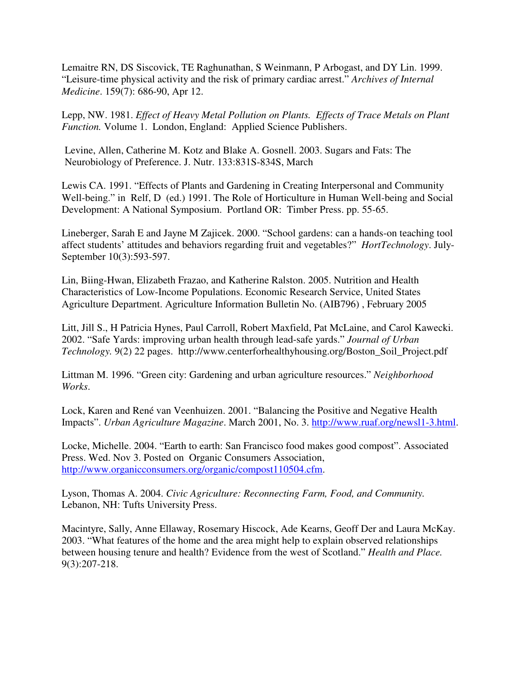Lemaitre RN, DS Siscovick, TE Raghunathan, S Weinmann, P Arbogast, and DY Lin. 1999. "Leisure-time physical activity and the risk of primary cardiac arrest." *Archives of Internal Medicine*. 159(7): 686-90, Apr 12.

Lepp, NW. 1981. *Effect of Heavy Metal Pollution on Plants. Effects of Trace Metals on Plant Function.* Volume 1. London, England: Applied Science Publishers.

Levine, Allen, Catherine M. Kotz and Blake A. Gosnell. 2003. Sugars and Fats: The Neurobiology of Preference. J. Nutr. 133:831S-834S, March

Lewis CA. 1991. "Effects of Plants and Gardening in Creating Interpersonal and Community Well-being." in Relf, D (ed.) 1991. The Role of Horticulture in Human Well-being and Social Development: A National Symposium. Portland OR: Timber Press. pp. 55-65.

Lineberger, Sarah E and Jayne M Zajicek. 2000. "School gardens: can a hands-on teaching tool affect students' attitudes and behaviors regarding fruit and vegetables?" *HortTechnology*. July-September 10(3):593-597.

Lin, Biing-Hwan, Elizabeth Frazao, and Katherine Ralston. 2005. Nutrition and Health Characteristics of Low-Income Populations. Economic Research Service, United States Agriculture Department. Agriculture Information Bulletin No. (AIB796) , February 2005

Litt, Jill S., H Patricia Hynes, Paul Carroll, Robert Maxfield, Pat McLaine, and Carol Kawecki. 2002. "Safe Yards: improving urban health through lead-safe yards." *Journal of Urban Technology.* 9(2) 22 pages. http://www.centerforhealthyhousing.org/Boston\_Soil\_Project.pdf

Littman M. 1996. "Green city: Gardening and urban agriculture resources." *Neighborhood Works*.

Lock, Karen and René van Veenhuizen. 2001. "Balancing the Positive and Negative Health Impacts". *Urban Agriculture Magazine*. March 2001, No. 3. http://www.ruaf.org/newsl1-3.html.

Locke, Michelle. 2004. "Earth to earth: San Francisco food makes good compost". Associated Press. Wed. Nov 3. Posted on Organic Consumers Association, http://www.organicconsumers.org/organic/compost110504.cfm.

Lyson, Thomas A. 2004. *Civic Agriculture: Reconnecting Farm, Food, and Community.* Lebanon, NH: Tufts University Press.

Macintyre, Sally, Anne Ellaway, Rosemary Hiscock, Ade Kearns, Geoff Der and Laura McKay. 2003. "What features of the home and the area might help to explain observed relationships between housing tenure and health? Evidence from the west of Scotland." *Health and Place.* 9(3):207-218.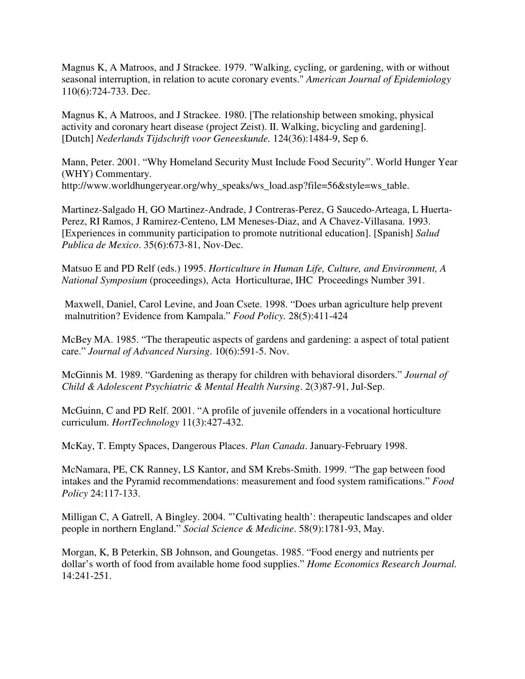Magnus K, A Matroos, and J Strackee. 1979. "Walking, cycling, or gardening, with or without seasonal interruption, in relation to acute coronary events." *American Journal of Epidemiology* 110(6):724-733. Dec.

Magnus K, A Matroos, and J Strackee. 1980. [The relationship between smoking, physical activity and coronary heart disease (project Zeist). II. Walking, bicycling and gardening]. [Dutch] *Nederlands Tijdschrift voor Geneeskunde.* 124(36):1484-9, Sep 6.

Mann, Peter. 2001. "Why Homeland Security Must Include Food Security". World Hunger Year (WHY) Commentary. http://www.worldhungeryear.org/why\_speaks/ws\_load.asp?file=56&style=ws\_table.

Martinez-Salgado H, GO Martinez-Andrade, J Contreras-Perez, G Saucedo-Arteaga, L Huerta-Perez, RI Ramos, J Ramirez-Centeno, LM Meneses-Diaz, and A Chavez-Villasana. 1993. [Experiences in community participation to promote nutritional education]. [Spanish] *Salud Publica de Mexico*. 35(6):673-81, Nov-Dec.

Matsuo E and PD Relf (eds.) 1995. *Horticulture in Human Life, Culture, and Environment, A National Symposium* (proceedings), Acta Horticulturae, IHC Proceedings Number 391.

Maxwell, Daniel, Carol Levine, and Joan Csete. 1998. "Does urban agriculture help prevent malnutrition? Evidence from Kampala." *Food Policy.* 28(5):411-424

McBey MA. 1985. "The therapeutic aspects of gardens and gardening: a aspect of total patient care." *Journal of Advanced Nursing*. 10(6):591-5. Nov.

McGinnis M. 1989. "Gardening as therapy for children with behavioral disorders." *Journal of Child & Adolescent Psychiatric & Mental Health Nursing*. 2(3)87-91, Jul-Sep.

McGuinn, C and PD Relf. 2001. "A profile of juvenile offenders in a vocational horticulture curriculum. *HortTechnology* 11(3):427-432.

McKay, T. Empty Spaces, Dangerous Places. *Plan Canada*. January-February 1998.

McNamara, PE, CK Ranney, LS Kantor, and SM Krebs-Smith. 1999. "The gap between food intakes and the Pyramid recommendations: measurement and food system ramifications." *Food Policy* 24:117-133.

Milligan C, A Gatrell, A Bingley. 2004. "'Cultivating health': therapeutic landscapes and older people in northern England." *Social Science & Medicine*. 58(9):1781-93, May.

Morgan, K, B Peterkin, SB Johnson, and Goungetas. 1985. "Food energy and nutrients per dollar's worth of food from available home food supplies." *Home Economics Research Journal.* 14:241-251.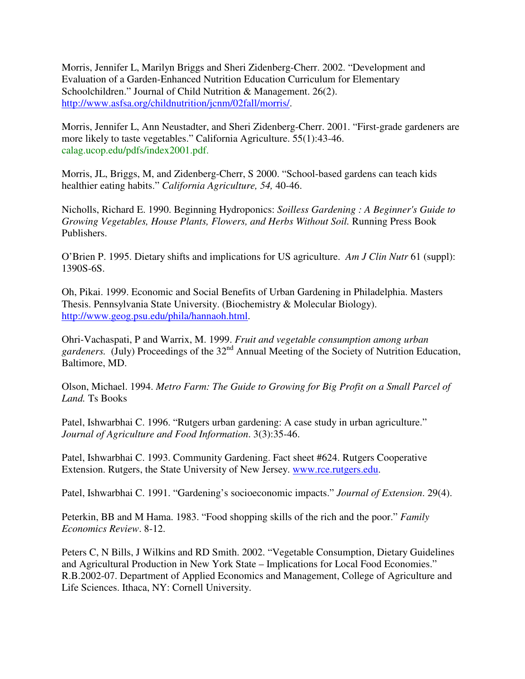Morris, Jennifer L, Marilyn Briggs and Sheri Zidenberg-Cherr. 2002. "Development and Evaluation of a Garden-Enhanced Nutrition Education Curriculum for Elementary Schoolchildren." Journal of Child Nutrition & Management. 26(2). http://www.asfsa.org/childnutrition/jcnm/02fall/morris/.

Morris, Jennifer L, Ann Neustadter, and Sheri Zidenberg-Cherr. 2001. "First-grade gardeners are more likely to taste vegetables." California Agriculture. 55(1):43-46. calag.ucop.edu/pdfs/index2001.pdf.

Morris, JL, Briggs, M, and Zidenberg-Cherr, S 2000. "School-based gardens can teach kids healthier eating habits." *California Agriculture, 54,* 40-46.

Nicholls, Richard E. 1990. Beginning Hydroponics: *Soilless Gardening : A Beginner's Guide to Growing Vegetables, House Plants, Flowers, and Herbs Without Soil.* Running Press Book Publishers.

O'Brien P. 1995. Dietary shifts and implications for US agriculture. *Am J Clin Nutr* 61 (suppl): 1390S-6S.

Oh, Pikai. 1999. Economic and Social Benefits of Urban Gardening in Philadelphia. Masters Thesis. Pennsylvania State University. (Biochemistry & Molecular Biology). http://www.geog.psu.edu/phila/hannaoh.html.

Ohri-Vachaspati, P and Warrix, M. 1999. *Fruit and vegetable consumption among urban* gardeners. (July) Proceedings of the 32<sup>nd</sup> Annual Meeting of the Society of Nutrition Education, Baltimore, MD.

Olson, Michael. 1994. *Metro Farm: The Guide to Growing for Big Profit on a Small Parcel of Land.* Ts Books

Patel, Ishwarbhai C. 1996. "Rutgers urban gardening: A case study in urban agriculture." *Journal of Agriculture and Food Information*. 3(3):35-46.

Patel, Ishwarbhai C. 1993. Community Gardening. Fact sheet #624. Rutgers Cooperative Extension. Rutgers, the State University of New Jersey. www.rce.rutgers.edu.

Patel, Ishwarbhai C. 1991. "Gardening's socioeconomic impacts." *Journal of Extension*. 29(4).

Peterkin, BB and M Hama. 1983. "Food shopping skills of the rich and the poor." *Family Economics Review*. 8-12.

Peters C, N Bills, J Wilkins and RD Smith. 2002. "Vegetable Consumption, Dietary Guidelines and Agricultural Production in New York State – Implications for Local Food Economies." R.B.2002-07. Department of Applied Economics and Management, College of Agriculture and Life Sciences. Ithaca, NY: Cornell University.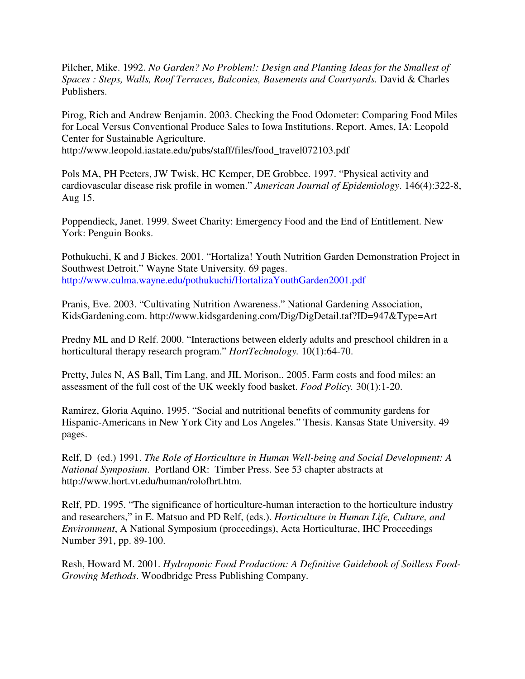Pilcher, Mike. 1992. *No Garden? No Problem!: Design and Planting Ideas for the Smallest of Spaces : Steps, Walls, Roof Terraces, Balconies, Basements and Courtyards.* David & Charles Publishers.

Pirog, Rich and Andrew Benjamin. 2003. Checking the Food Odometer: Comparing Food Miles for Local Versus Conventional Produce Sales to Iowa Institutions. Report. Ames, IA: Leopold Center for Sustainable Agriculture. http://www.leopold.iastate.edu/pubs/staff/files/food\_travel072103.pdf

Pols MA, PH Peeters, JW Twisk, HC Kemper, DE Grobbee. 1997. "Physical activity and cardiovascular disease risk profile in women." *American Journal of Epidemiology*. 146(4):322-8, Aug 15.

Poppendieck, Janet. 1999. Sweet Charity: Emergency Food and the End of Entitlement. New York: Penguin Books.

Pothukuchi, K and J Bickes. 2001. "Hortaliza! Youth Nutrition Garden Demonstration Project in Southwest Detroit." Wayne State University. 69 pages. http://www.culma.wayne.edu/pothukuchi/HortalizaYouthGarden2001.pdf

Pranis, Eve. 2003. "Cultivating Nutrition Awareness." National Gardening Association, KidsGardening.com. http://www.kidsgardening.com/Dig/DigDetail.taf?ID=947&Type=Art

Predny ML and D Relf. 2000. "Interactions between elderly adults and preschool children in a horticultural therapy research program." *HortTechnology.* 10(1):64-70.

Pretty, Jules N, AS Ball, Tim Lang, and JIL Morison.. 2005. Farm costs and food miles: an assessment of the full cost of the UK weekly food basket. *Food Policy.* 30(1):1-20.

Ramirez, Gloria Aquino. 1995. "Social and nutritional benefits of community gardens for Hispanic-Americans in New York City and Los Angeles." Thesis. Kansas State University. 49 pages.

Relf, D (ed.) 1991. *The Role of Horticulture in Human Well-being and Social Development: A National Symposium*. Portland OR: Timber Press. See 53 chapter abstracts at http://www.hort.vt.edu/human/rolofhrt.htm.

Relf, PD. 1995. "The significance of horticulture-human interaction to the horticulture industry and researchers," in E. Matsuo and PD Relf, (eds.). *Horticulture in Human Life, Culture, and Environment*, A National Symposium (proceedings), Acta Horticulturae, IHC Proceedings Number 391, pp. 89-100.

Resh, Howard M. 2001. *Hydroponic Food Production: A Definitive Guidebook of Soilless Food-Growing Methods*. Woodbridge Press Publishing Company.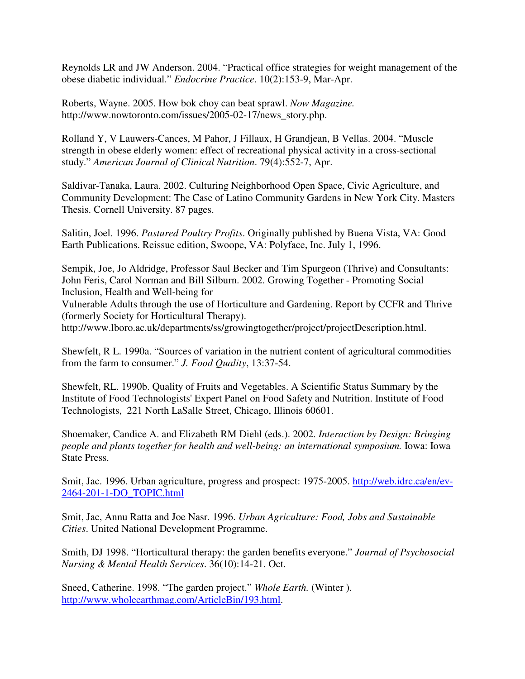Reynolds LR and JW Anderson. 2004. "Practical office strategies for weight management of the obese diabetic individual." *Endocrine Practice*. 10(2):153-9, Mar-Apr.

Roberts, Wayne. 2005. How bok choy can beat sprawl. *Now Magazine.* http://www.nowtoronto.com/issues/2005-02-17/news\_story.php.

Rolland Y, V Lauwers-Cances, M Pahor, J Fillaux, H Grandjean, B Vellas. 2004. "Muscle strength in obese elderly women: effect of recreational physical activity in a cross-sectional study." *American Journal of Clinical Nutrition*. 79(4):552-7, Apr.

Saldivar-Tanaka, Laura. 2002. Culturing Neighborhood Open Space, Civic Agriculture, and Community Development: The Case of Latino Community Gardens in New York City. Masters Thesis. Cornell University. 87 pages.

Salitin, Joel. 1996. *Pastured Poultry Profits*. Originally published by Buena Vista, VA: Good Earth Publications. Reissue edition, Swoope, VA: Polyface, Inc. July 1, 1996.

Sempik, Joe, Jo Aldridge, Professor Saul Becker and Tim Spurgeon (Thrive) and Consultants: John Feris, Carol Norman and Bill Silburn. 2002. Growing Together - Promoting Social Inclusion, Health and Well-being for

Vulnerable Adults through the use of Horticulture and Gardening. Report by CCFR and Thrive (formerly Society for Horticultural Therapy).

http://www.lboro.ac.uk/departments/ss/growingtogether/project/projectDescription.html.

Shewfelt, R L. 1990a. "Sources of variation in the nutrient content of agricultural commodities from the farm to consumer." *J. Food Quality*, 13:37-54.

Shewfelt, RL. 1990b. Quality of Fruits and Vegetables. A Scientific Status Summary by the Institute of Food Technologists' Expert Panel on Food Safety and Nutrition. Institute of Food Technologists, 221 North LaSalle Street, Chicago, Illinois 60601.

Shoemaker, Candice A. and Elizabeth RM Diehl (eds.). 2002. *Interaction by Design: Bringing people and plants together for health and well-being: an international symposium.* Iowa: Iowa State Press.

Smit, Jac. 1996. Urban agriculture, progress and prospect: 1975-2005. http://web.idrc.ca/en/ev-2464-201-1-DO\_TOPIC.html

Smit, Jac, Annu Ratta and Joe Nasr. 1996. *Urban Agriculture: Food, Jobs and Sustainable Cities*. United National Development Programme.

Smith, DJ 1998. "Horticultural therapy: the garden benefits everyone." *Journal of Psychosocial Nursing & Mental Health Services*. 36(10):14-21. Oct.

Sneed, Catherine. 1998. "The garden project." *Whole Earth.* (Winter ). http://www.wholeearthmag.com/ArticleBin/193.html.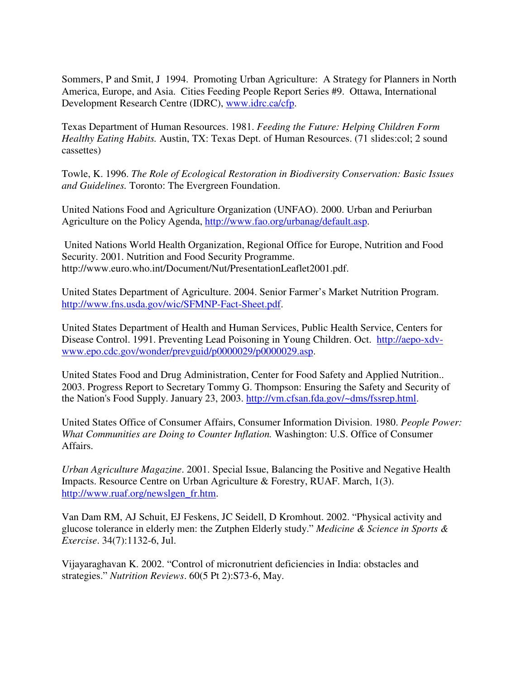Sommers, P and Smit, J 1994. Promoting Urban Agriculture: A Strategy for Planners in North America, Europe, and Asia. Cities Feeding People Report Series #9. Ottawa, International Development Research Centre (IDRC), www.idrc.ca/cfp.

Texas Department of Human Resources. 1981. *Feeding the Future: Helping Children Form Healthy Eating Habits.* Austin, TX: Texas Dept. of Human Resources. (71 slides:col; 2 sound cassettes)

Towle, K. 1996. *The Role of Ecological Restoration in Biodiversity Conservation: Basic Issues and Guidelines.* Toronto: The Evergreen Foundation.

United Nations Food and Agriculture Organization (UNFAO). 2000. Urban and Periurban Agriculture on the Policy Agenda, http://www.fao.org/urbanag/default.asp.

United Nations World Health Organization, Regional Office for Europe, Nutrition and Food Security. 2001. Nutrition and Food Security Programme. http://www.euro.who.int/Document/Nut/PresentationLeaflet2001.pdf.

United States Department of Agriculture. 2004. Senior Farmer's Market Nutrition Program. http://www.fns.usda.gov/wic/SFMNP-Fact-Sheet.pdf.

United States Department of Health and Human Services, Public Health Service, Centers for Disease Control. 1991. Preventing Lead Poisoning in Young Children. Oct. http://aepo-xdvwww.epo.cdc.gov/wonder/prevguid/p0000029/p0000029.asp.

United States Food and Drug Administration, Center for Food Safety and Applied Nutrition.. 2003. Progress Report to Secretary Tommy G. Thompson: Ensuring the Safety and Security of the Nation's Food Supply. January 23, 2003. http://vm.cfsan.fda.gov/~dms/fssrep.html.

United States Office of Consumer Affairs, Consumer Information Division. 1980. *People Power: What Communities are Doing to Counter Inflation.* Washington: U.S. Office of Consumer Affairs.

*Urban Agriculture Magazine*. 2001. Special Issue, Balancing the Positive and Negative Health Impacts. Resource Centre on Urban Agriculture & Forestry, RUAF. March, 1(3). http://www.ruaf.org/newslgen\_fr.htm.

Van Dam RM, AJ Schuit, EJ Feskens, JC Seidell, D Kromhout. 2002. "Physical activity and glucose tolerance in elderly men: the Zutphen Elderly study." *Medicine & Science in Sports & Exercise*. 34(7):1132-6, Jul.

Vijayaraghavan K. 2002. "Control of micronutrient deficiencies in India: obstacles and strategies." *Nutrition Reviews*. 60(5 Pt 2):S73-6, May.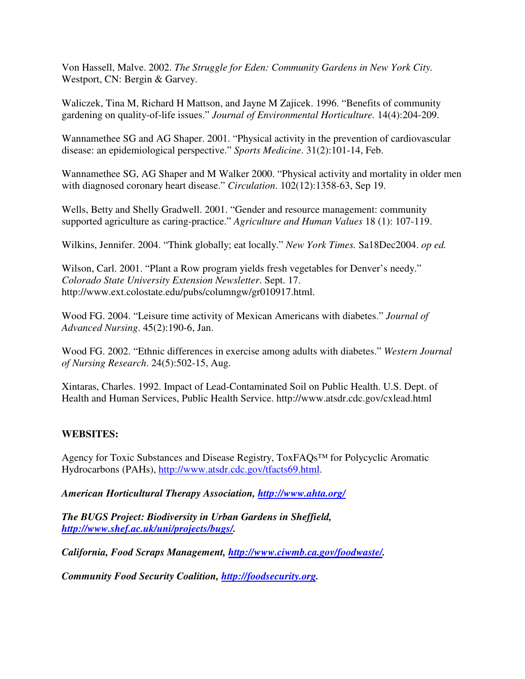Von Hassell, Malve. 2002. *The Struggle for Eden: Community Gardens in New York City.* Westport, CN: Bergin & Garvey.

Waliczek, Tina M, Richard H Mattson, and Jayne M Zajicek. 1996. "Benefits of community gardening on quality-of-life issues." *Journal of Environmental Horticulture.* 14(4):204-209.

Wannamethee SG and AG Shaper. 2001. "Physical activity in the prevention of cardiovascular disease: an epidemiological perspective." *Sports Medicine*. 31(2):101-14, Feb.

Wannamethee SG, AG Shaper and M Walker 2000. "Physical activity and mortality in older men with diagnosed coronary heart disease." *Circulation*. 102(12):1358-63, Sep 19.

Wells, Betty and Shelly Gradwell. 2001. "Gender and resource management: community supported agriculture as caring-practice." *Agriculture and Human Values* 18 (1): 107-119.

Wilkins, Jennifer. 2004. "Think globally; eat locally." *New York Times.* Sa18Dec2004. *op ed.*

Wilson, Carl. 2001. "Plant a Row program yields fresh vegetables for Denver's needy." *Colorado State University Extension Newsletter*. Sept. 17. http://www.ext.colostate.edu/pubs/columngw/gr010917.html.

Wood FG. 2004. "Leisure time activity of Mexican Americans with diabetes." *Journal of Advanced Nursing*. 45(2):190-6, Jan.

Wood FG. 2002. "Ethnic differences in exercise among adults with diabetes." *Western Journal of Nursing Research*. 24(5):502-15, Aug.

Xintaras, Charles. 1992. Impact of Lead-Contaminated Soil on Public Health. U.S. Dept. of Health and Human Services, Public Health Service. http://www.atsdr.cdc.gov/cxlead.html

# **WEBSITES:**

Agency for Toxic Substances and Disease Registry, ToxFAQs™ for Polycyclic Aromatic Hydrocarbons (PAHs), http://www.atsdr.cdc.gov/tfacts69.html.

*American Horticultural Therapy Association, http://www.ahta.org/*

*The BUGS Project: Biodiversity in Urban Gardens in Sheffield, http://www.shef.ac.uk/uni/projects/bugs/.*

*California, Food Scraps Management, http://www.ciwmb.ca.gov/foodwaste/.*

*Community Food Security Coalition, http://foodsecurity.org.*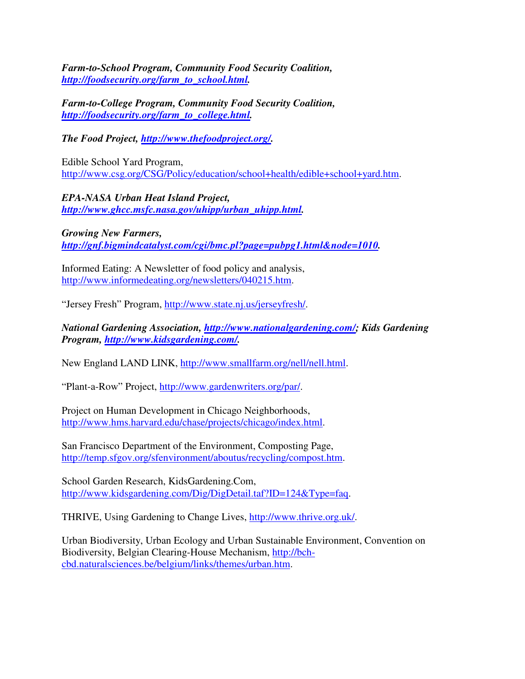*Farm-to-School Program, Community Food Security Coalition, http://foodsecurity.org/farm\_to\_school.html.*

*Farm-to-College Program, Community Food Security Coalition, http://foodsecurity.org/farm\_to\_college.html.*

*The Food Project, http://www.thefoodproject.org/.*

Edible School Yard Program, http://www.csg.org/CSG/Policy/education/school+health/edible+school+yard.htm.

*EPA-NASA Urban Heat Island Project, http://www.ghcc.msfc.nasa.gov/uhipp/urban\_uhipp.html.*

*Growing New Farmers, http://gnf.bigmindcatalyst.com/cgi/bmc.pl?page=pubpg1.html&node=1010.*

Informed Eating: A Newsletter of food policy and analysis, http://www.informedeating.org/newsletters/040215.htm.

"Jersey Fresh" Program, http://www.state.nj.us/jerseyfresh/.

*National Gardening Association, http://www.nationalgardening.com/; Kids Gardening Program, http://www.kidsgardening.com/.*

New England LAND LINK, http://www.smallfarm.org/nell/nell.html.

"Plant-a-Row" Project, http://www.gardenwriters.org/par/.

Project on Human Development in Chicago Neighborhoods, http://www.hms.harvard.edu/chase/projects/chicago/index.html.

San Francisco Department of the Environment, Composting Page, http://temp.sfgov.org/sfenvironment/aboutus/recycling/compost.htm.

School Garden Research, KidsGardening.Com, http://www.kidsgardening.com/Dig/DigDetail.taf?ID=124&Type=faq.

THRIVE, Using Gardening to Change Lives, http://www.thrive.org.uk/.

Urban Biodiversity, Urban Ecology and Urban Sustainable Environment, Convention on Biodiversity, Belgian Clearing-House Mechanism, http://bchcbd.naturalsciences.be/belgium/links/themes/urban.htm.